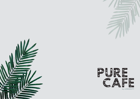



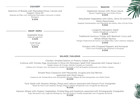### **couvert**

Selection of Breads with Marinated Olives, Carrots and Organic Olive Oil Seleção de Pães com Azeitonas Marinadas, Cenouras e Azeite Biológico 6.00€

#### **Snacks**

Vegetarian *Gyosas* with *Ponzu* Sauce *Gyosas* Vegetarianas com Molho Ponzu 9.00€

Dehydrated Vegetables with Garlic, Olive Oil and Fine Herbs Mavonnaise Vegetais Desidratados com Maionese de Azeite. Alho e Fryas Finas 9.50€

> Longevity Ketogenic Salad Salada Cetogénica Longevity 8.00€

Traditional Hummus Trilogy with Beetroot, Curry and Whole Wheat Nachos Trilogia Tradicional de Húmus com Beterraba, Caril e Nachos Integrais 9.00€

> Octopus with Chopped Peppers and Kumquat Polvo com Picadinho de Pimentos e Kumquat 9.00€

# **Saladas | Salads**

Chicken, Smoked Salmon or Prawns Ceasar Salad (Lettuce with Tomato, Egg, Anchovies in Olive Oil, Parmesan, Spelt Puff, seasoned with Caesar Sauce) Salada Ceasar de Frango, Salmão Fumado ou Camarão (Alface com Tomate, Ovo, Anchovas em Azeite, Parmesão e Puff de Espelta temperada com Molho Caesar) 16.00€

> *Fomate Rosa Carpaccio with Mozzarella, Arugula and Goji Berries* seasoned with Pesto Sauce

Carpaccio de Tomate Rosa com *Mozzarella*. Rúcula e Bagas de Goji temperado com Molho Pesto

16.00€

Tuna *Tataki* with Sesame, Mango, Pitaya and Lettuce seasoned with Passion Fruit Vinaigrette Tataki de Atum com Sésamo, Manga, Pitaya e Alface temperado com Vinagrete de Maracujá 16.00€

Saracen Wheat with Organic Vegetables, Pickled Egg and Hazelnuts seasoned with Pomegranate Vinaigrette Trigo Sarraceno com Legumes Biológicos. Ovo em Pickle e Avelãs temperado com Vinagrete de Romã 15.00€

### **Sopa | Soup**

Vegetable Soup Sopa de Legumes 5.00€

> Cold Soup Sopa Fria 6.00€

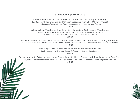# **Sanduíches | Sandwiches**

Whole Wheat Chicken Club Sandwich | Sanduíche Club Integral de Frango *(Lettuce with Tomato, Egg and Chicken seasoned with Olive Oil Mayonnaise)* (Alface com Tomate, Ovo e Frango temperada com Maionese com Azeite)

12.00€

Whole Wheat Vegetarian Club Sandwich | Sanduíche Club Integral Vegetariana (Cream Cheese with Avocado, Egg, Lettuce, Tomato and Pesto Sauce) (Queijo Creme com Abacate, Ovo, Alface, Tomate e Molho Pesto)

#### 12.00€

Smoked Salmon Sandwich with Cream Cheese, Arugula, Gherkins and Capers on Poppy Seed Bread Sanduíche de Salmão Fumado com Queijo Creme, Rúcula, Cornichões e Alcaparras em Pão de Sementes de Papoila 14.00€

> Beef Burger with Coleslaw salad on Whole Wheat Bolo do Caco Hambúrguer de Novilho com Salada Coleslaw em Bolo do Caco Integral 16.00€

Buck *Magret* with *Dijon* Mustard, Mung Beans, Aromatic Herbs Sprouts and *Teriyaki* Sauce on Bao Bread *Magret* de Pato com Mostarda *Dijon*, Feijão Mungo, Rebentos de Ervas Aromáticas e Molho Teriyaki em Pão Bao

15.00€

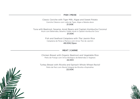**FISH | PEIXE** 

Classic Ceviche with Tiger Milk, Algae and Sweet Potato Ceviche Clássico com Leite de Tigre, Algas e Batata-doce 21.00€

Tuna with Beetroot, Sesame, *Azuki* Beans and Captain Kombucha Coconut Atum com Beterraba, Sésamo, Feijão Azuki e Captain Kombucha Coco 21.00€

> Fish and Seafood *Cataplana* with *Thai* Jasmin Rice Cataplana de Peixe e Marisco com Arroz Thai de Jasmim 48.00€/2pax

# **MEAT | CARNE**

Chicken Breast with Organic Beetroot and Vegetable Rice Peito de Frango com Arroz Biológico de Beterraba e Vegetais 22.00€

*Ravioli* Turkey Breast with *Ricotta* and Spinach Whole Wheat *Ravioli* Peito de Perú com Ravioli Integral de Ricotta e Espinafres 22.00€



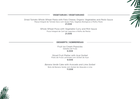

Dried Tomato Whole Wheat Pasta with Feta Cheese, Organic Vegetables and Pesto Sauce *Pesto* Massa Integral de Tomate Seco com Quejo Feta, Vegetais Biológicos e Molho Pesto 21.00€

> Whole Wheat Pizza with Vegetable Curry and Mint Sauce Pizza Integral de Caril de Legumes e Molho de Menta 21.00€



# **DESSERTS | SOBREMESAS**

Fruit Ice Cream Popsicles Gelados de Fruta 6.00€

**Sliced Fruit Platter with Acaí Sorbet** Prato de Fruta Laminada com Sorbet de Açaí 9.00€

**Banana Verde Cake with Avocado and Lime Sorbet** Bolo de Banana Verde com Sorbet de Abacate e Lima 11.00€